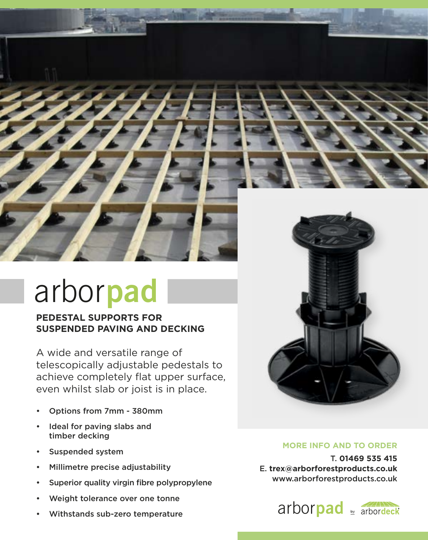

## arbor**pad**

## **PEDESTAL SUPPORTS FOR SUSPENDED PAVING AND DECKING**

A wide and versatile range of telescopically adjustable pedestals to achieve completely flat upper surface, even whilst slab or joist is in place. A wide and versatile range of<br>telescopically adjustable pedes

- Options from 7mm 380mm • Options from 7mm - 380mm
- Ideal for paving slabs and timber decking
- Suspended system
- Suspended system<br>• Millimetre precise adjusta<br>• Superior quality virgin fibr • Millimetre precise adjustability
- Superior quality virgin fibre polypropylene
- Weight tolerance over one tonne
- Withstands sub-zero temperature



## **MORE INFO AND TO ORDER**

arbor**board** www.arborforestproducts.co.uk T. **01469 535 415** E. **trex@arborforestproducts.co.uk**